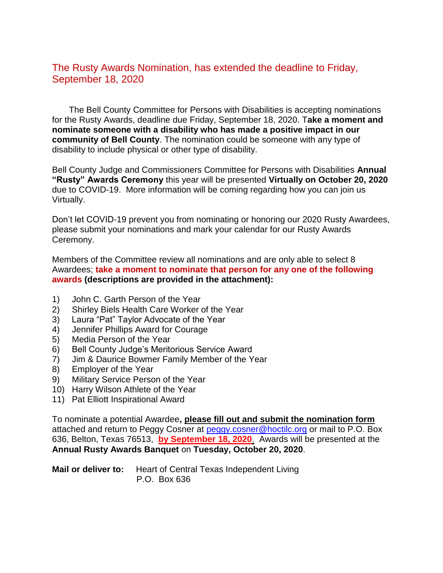## The Rusty Awards Nomination, has extended the deadline to Friday, September 18, 2020

 The Bell County Committee for Persons with Disabilities is accepting nominations for the Rusty Awards, deadline due Friday, September 18, 2020. T**ake a moment and nominate someone with a disability who has made a positive impact in our community of Bell County**. The nomination could be someone with any type of disability to include physical or other type of disability.

Bell County Judge and Commissioners Committee for Persons with Disabilities **Annual "Rusty" Awards Ceremony** this year will be presented **Virtually on October 20, 2020** due to COVID-19. More information will be coming regarding how you can join us Virtually.

Don't let COVID-19 prevent you from nominating or honoring our 2020 Rusty Awardees, please submit your nominations and mark your calendar for our Rusty Awards Ceremony.

Members of the Committee review all nominations and are only able to select 8 Awardees; **take a moment to nominate that person for any one of the following awards (descriptions are provided in the attachment):**

- 1) John C. Garth Person of the Year
- 2) Shirley Biels Health Care Worker of the Year
- 3) Laura "Pat" Taylor Advocate of the Year
- 4) Jennifer Phillips Award for Courage
- 5) Media Person of the Year
- 6) Bell County Judge's Meritorious Service Award
- 7) Jim & Daurice Bowmer Family Member of the Year
- 8) Employer of the Year
- 9) Military Service Person of the Year
- 10) Harry Wilson Athlete of the Year
- 11) Pat Elliott Inspirational Award

To nominate a potential Awardee**, please fill out and submit the nomination form** attached and return to Peggy Cosner at [peggy.cosner@hoctilc.org](mailto:peggy.cosner@hoctilc.org) or mail to P.O. Box 636, Belton, Texas 76513, **by September 18, 2020**. Awards will be presented at the **Annual Rusty Awards Banquet** on **Tuesday, October 20, 2020**.

**Mail or deliver to:** Heart of Central Texas Independent Living P.O. Box 636